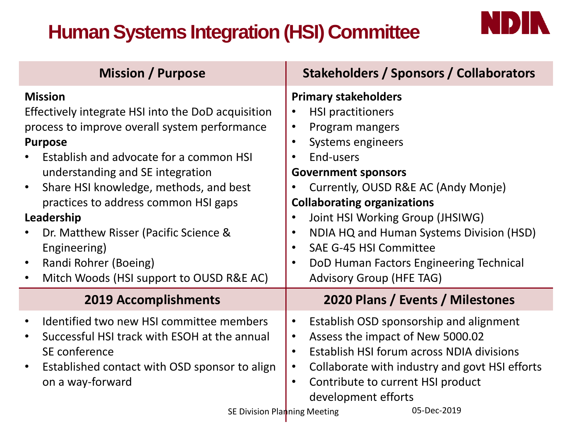# **Human Systems Integration (HSI) Committee**



| <b>Mission / Purpose</b>                                                                                                                                                                                                                                                                                                                                                                                                                                                       | Stakeholders / Sponsors / Collaborators                                                                                                                                                                                                                                                                                                                                                                         |
|--------------------------------------------------------------------------------------------------------------------------------------------------------------------------------------------------------------------------------------------------------------------------------------------------------------------------------------------------------------------------------------------------------------------------------------------------------------------------------|-----------------------------------------------------------------------------------------------------------------------------------------------------------------------------------------------------------------------------------------------------------------------------------------------------------------------------------------------------------------------------------------------------------------|
| <b>Mission</b><br>Effectively integrate HSI into the DoD acquisition<br>process to improve overall system performance<br><b>Purpose</b><br>Establish and advocate for a common HSI<br>understanding and SE integration<br>Share HSI knowledge, methods, and best<br>$\bullet$<br>practices to address common HSI gaps<br>Leadership<br>Dr. Matthew Risser (Pacific Science &<br>Engineering)<br>Randi Rohrer (Boeing)<br>$\bullet$<br>Mitch Woods (HSI support to OUSD R&E AC) | <b>Primary stakeholders</b><br><b>HSI practitioners</b><br>Program mangers<br>Systems engineers<br>End-users<br><b>Government sponsors</b><br>Currently, OUSD R&E AC (Andy Monje)<br><b>Collaborating organizations</b><br>Joint HSI Working Group (JHSIWG)<br>NDIA HQ and Human Systems Division (HSD)<br>SAE G-45 HSI Committee<br>DoD Human Factors Engineering Technical<br><b>Advisory Group (HFE TAG)</b> |
| <b>2019 Accomplishments</b>                                                                                                                                                                                                                                                                                                                                                                                                                                                    | 2020 Plans / Events / Milestones                                                                                                                                                                                                                                                                                                                                                                                |
| Identified two new HSI committee members<br>$\bullet$<br>Successful HSI track with ESOH at the annual<br>$\bullet$<br>SE conference<br>Established contact with OSD sponsor to align<br>$\bullet$<br>on a way-forward<br>SE Division Planning Meeting                                                                                                                                                                                                                          | Establish OSD sponsorship and alignment<br>Assess the impact of New 5000.02<br>Establish HSI forum across NDIA divisions<br>Collaborate with industry and govt HSI efforts<br>$\bullet$<br>Contribute to current HSI product<br>$\bullet$<br>development efforts<br>05-Dec-2019                                                                                                                                 |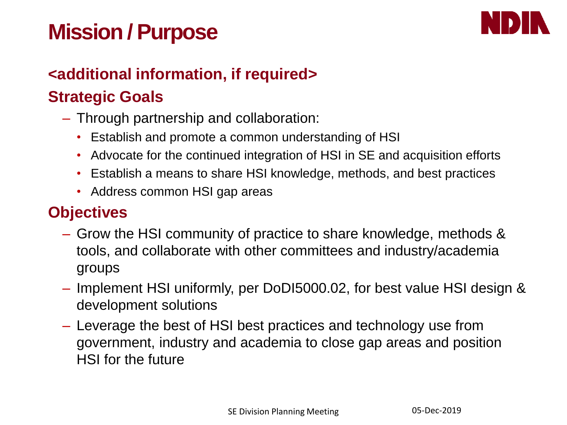# **Mission / Purpose**



#### **<additional information, if required>**

## **Strategic Goals**

- Through partnership and collaboration:
	- Establish and promote a common understanding of HSI
	- Advocate for the continued integration of HSI in SE and acquisition efforts
	- Establish a means to share HSI knowledge, methods, and best practices
	- Address common HSI gap areas

## **Objectives**

- Grow the HSI community of practice to share knowledge, methods & tools, and collaborate with other committees and industry/academia groups
- Implement HSI uniformly, per DoDI5000.02, for best value HSI design & development solutions
- Leverage the best of HSI best practices and technology use from government, industry and academia to close gap areas and position HSI for the future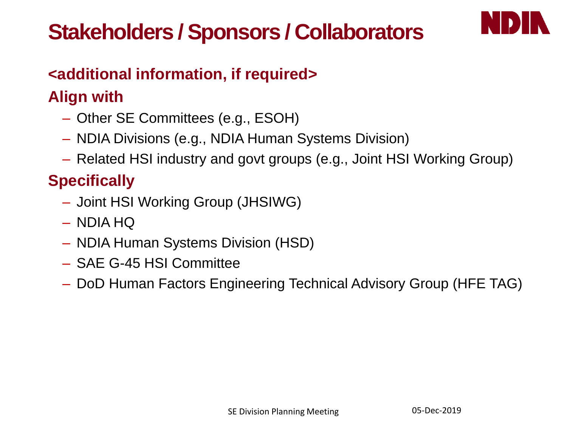# **Stakeholders / Sponsors / Collaborators**



## **<additional information, if required>**

# **Align with**

- Other SE Committees (e.g., ESOH)
- NDIA Divisions (e.g., NDIA Human Systems Division)
- Related HSI industry and govt groups (e.g., Joint HSI Working Group)

# **Specifically**

- Joint HSI Working Group (JHSIWG)
- NDIA HQ
- NDIA Human Systems Division (HSD)
- SAE G-45 HSI Committee
- DoD Human Factors Engineering Technical Advisory Group (HFE TAG)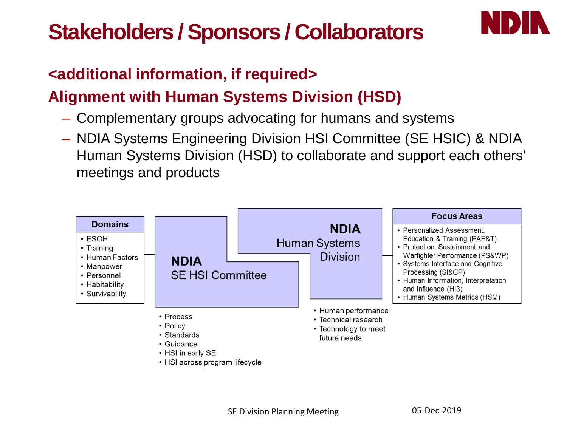# **Stakeholders / Sponsors / Collaborators**



#### **<additional information, if required>**

## **Alignment with Human Systems Division (HSD)**

- Complementary groups advocating for humans and systems
- NDIA Systems Engineering Division HSI Committee (SE HSIC) & NDIA Human Systems Division (HSD) to collaborate and support each others' meetings and products

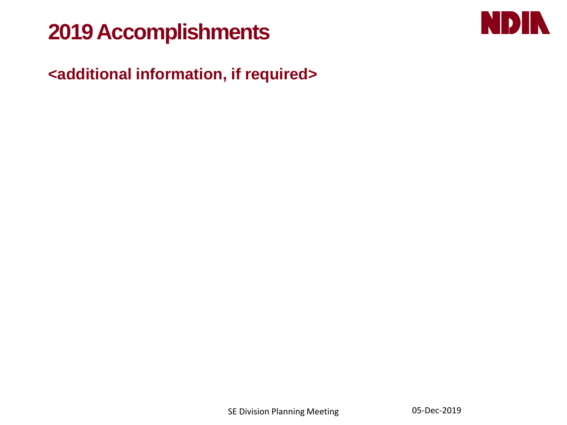# **2019 Accomplishments**



## **<additional information, if required>**

**SE Division Planning Meeting 05-Dec-2019**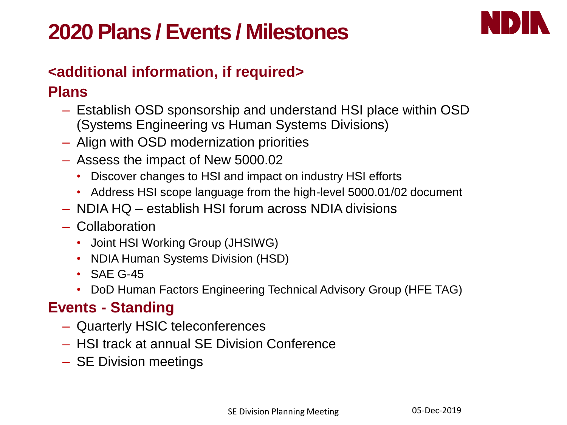# **2020 Plans / Events / Milestones**



#### **<additional information, if required>**

#### **Plans**

- Establish OSD sponsorship and understand HSI place within OSD (Systems Engineering vs Human Systems Divisions)
- Align with OSD modernization priorities
- Assess the impact of New 5000.02
	- Discover changes to HSI and impact on industry HSI efforts
	- Address HSI scope language from the high-level 5000.01/02 document
- NDIA HQ establish HSI forum across NDIA divisions
- Collaboration
	- Joint HSI Working Group (JHSIWG)
	- NDIA Human Systems Division (HSD)
	- SAF G-45
	- DoD Human Factors Engineering Technical Advisory Group (HFE TAG)

#### **Events - Standing**

- Quarterly HSIC teleconferences
- HSI track at annual SE Division Conference
- SE Division meetings